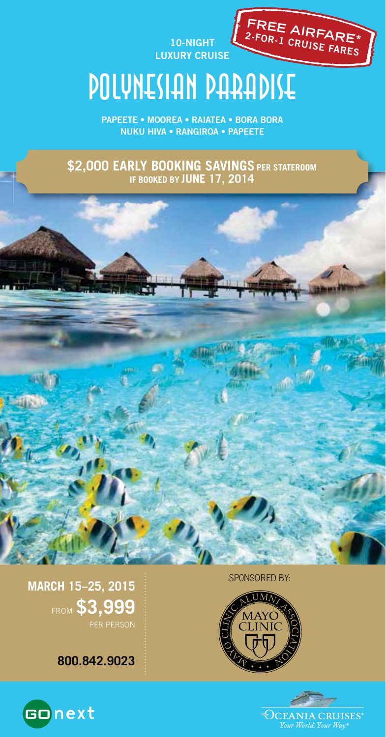**10-NIGHT LUXURY CRUISE**



# POLYNESIAN PARADISE

**PAPEETE • MOOREA • RAIATEA • BORA BORA NUKU HIVA • RANGIROA • PAPEETE**

**\$2,000 EARLY BOOKING SAVINGS PER STATEROOM IF BOOKED BY JUNE 17, 2014**



SP0NSORED BY:

**MARCH 15–25, 2015** FROM **\$3,999** PER PERSON

**800.842.9023**



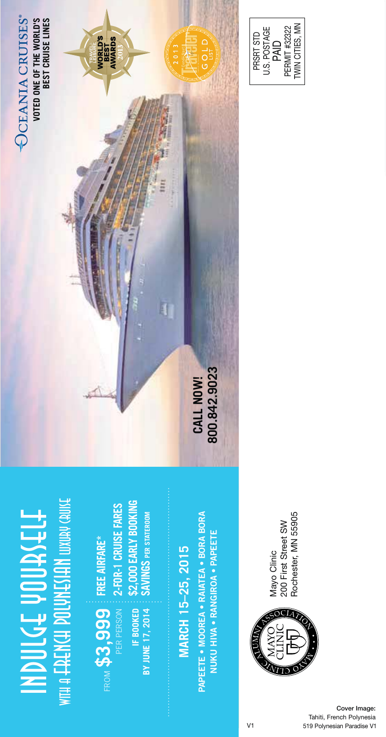

**FREE AIRFARE\***

FROM  $$3,999$  **FREE AIRFARE\*** 

LENTHE # HIM

PER PERSON **IF BOOKED BY JUNE 17, 2014**

BY JUNE 17, 2014 IF BOOKED

PERMIT #32322<br>TWIN CITIES, MN PRSRT STD<br>U.S. POSTAGE<br>PAID TWIN CITIES, MN PERMIT #32322 U.S. POSTAGE PRSRT STD

## Rochester, MN 55905 Rochester, MN 55905 Mayo Clinic<br>200 First Street SW 200 First Street SW Mayo Clinic



**MARCH 15–25, 2015** 

MARCH 15-25, 2015

**NUKU HIVA • RANGIROA • PAPEETE**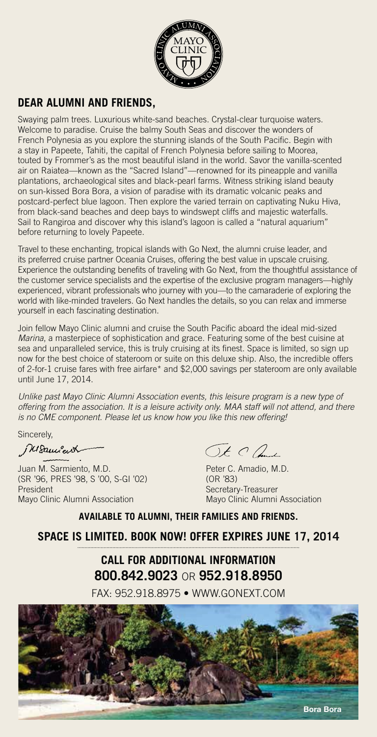

### **DEAR ALUMNI AND FRIENDS,**

Swaying palm trees. Luxurious white-sand beaches. Crystal-clear turquoise waters. Welcome to paradise. Cruise the balmy South Seas and discover the wonders of French Polynesia as you explore the stunning islands of the South Pacific. Begin with a stay in Papeete, Tahiti, the capital of French Polynesia before sailing to Moorea, touted by Frommer's as the most beautiful island in the world. Savor the vanilla-scented air on Raiatea—known as the "Sacred Island"—renowned for its pineapple and vanilla plantations, archaeological sites and black-pearl farms. Witness striking island beauty on sun-kissed Bora Bora, a vision of paradise with its dramatic volcanic peaks and postcard-perfect blue lagoon. Then explore the varied terrain on captivating Nuku Hiva, from black-sand beaches and deep bays to windswept cliffs and majestic waterfalls. Sail to Rangiroa and discover why this island's lagoon is called a "natural aquarium" before returning to lovely Papeete.

Travel to these enchanting, tropical islands with Go Next, the alumni cruise leader, and its preferred cruise partner Oceania Cruises, offering the best value in upscale cruising. Experience the outstanding benefits of traveling with Go Next, from the thoughtful assistance of the customer service specialists and the expertise of the exclusive program managers—highly experienced, vibrant professionals who journey with you—to the camaraderie of exploring the world with like-minded travelers. Go Next handles the details, so you can relax and immerse yourself in each fascinating destination.

Join fellow Mayo Clinic alumni and cruise the South Pacific aboard the ideal mid-sized Marina, a masterpiece of sophistication and grace. Featuring some of the best cuisine at sea and unparalleled service, this is truly cruising at its finest. Space is limited, so sign up now for the best choice of stateroom or suite on this deluxe ship. Also, the incredible offers of 2-for-1 cruise fares with free airfare\* and \$2,000 savings per stateroom are only available until June 17, 2014.

Unlike past Mayo Clinic Alumni Association events, this leisure program is a new type of offering from the association. It is a leisure activity only. MAA staff will not attend, and there is no CME component. Please let us know how you like this new offering!

Sincerely,

WSamient

Juan M. Sarmiento, M.D.<br>
(SR '96. PRES '98. S '00. S-GI '02) (OR '83) (SR '96, PRES '98, S '00, S-GI '02)<br>President Mayo Clinic Alumni Association

Ot Clas

Secretary-Treasurer<br>Mayo Clinic Alumni Association

**AVAILABLE TO ALUMNI, THEIR FAMILIES AND FRIENDS.**

**SPACE IS LIMITED. BOOK NOW! OFFER EXPIRES JUNE 17, 2014**

### **CALL FOR ADDITIONAL INFORMATION 800.842.9023** OR **952.918.8950**

FAX: 952.918.8975 • WWW.GONEXT.COM

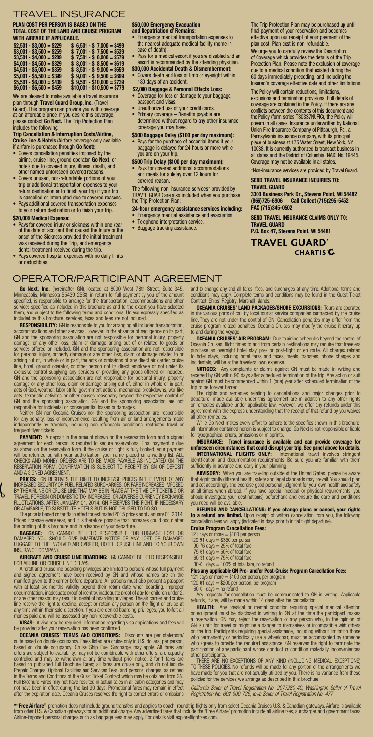#### TRAVEL INSURANCE

**PLAN COST PER PERSON IS BASED ON THE TOTAL COST OF THE LAND AND CRUISE PROGRAM WITH AIRFARE IF APPLICABLE.**

| $$2,501 - $3,000 = $229$ | $$6,501 - $7,000 = $499$   |
|--------------------------|----------------------------|
| $$3,001 - $3,500 = $259$ | $$7,001 - $7,500 = $539$   |
| $$3.501 - $4.000 = $289$ | $$7.501 - $8.000 = $579$   |
| $$4,001 - $4,500 = $329$ | $$8.001 - $8.500 = $619$   |
| $$4.501 - $5.000 = $359$ | $$8,501 - $9,000 = $659$   |
| $$5,001 - $5,500 = $399$ | $$9,001 - $9,500 = $699$   |
| $$5,501 - $6,000 = $439$ | $$9.501 - $10.000 = $739$  |
| $$6,001 - $6,500 = $459$ | $$10,001 - $10,500 = $779$ |

We are pleased to make available a travel insurance plan through **Travel Guard Group, Inc.** (Travel

Guard). This program can provide you with coverage at an affordable price. If you desire this coverage, please contact **Go Next.** The Trip Protection Plan includes the following:

**Trip Cancellation & Interruption Costs/Airline, Cruise line & Hotels** (Airfare coverage only available if airfare is purchased through **Go Next**)**:**

- Covers cancellation penalties imposed by the airline, cruise line, ground operator, **Go Next**, or hotels due to covered injury, illness, death, and
- other named unforeseen covered reasons. Covers unused, non-refundable portions of your trip or additional transportation expenses to your return destination or to finish your trip if your trip is cancelled or interrupted due to covered reasons. • Pays additional covered transportation expenses
- to your return destination or to finish your trip.

#### **\$20,000 Medical Expense:**

- Pays for covered injury or sickness within one year of the date of accident that caused the Injury or the onset of the Sickness provided the initial treatment was received during the Trip, and emergency dental treatment received during the trip.
- Pays covered hospital expenses with no daily limits or deductibles.

#### OPERATOR/PARTICIPANT AGREEMENT

**Go Next, Inc.** (hereinafter GN), located at 8000 West 78th Street, Suite 345, Minneapolis, Minnesota 55439-2538, in return for full payment by you of the amount specified, is responsible to arrange for the transportation, accommodations and other<br>services specified as included in this brochure as and to the extent you have selected<br>them, and subject to the following terms and cond

included by this brochure, services, taxes and fees are not included.<br>**RESPONSIBILITY:** CN is responsible to you for arranging all included transportation,<br>accommodations and other services. However, in the absence of negl for personal injury, property damage or any other loss, claim or damage related to or<br>airsing out of, in whole or in part, the acts or omissions of any direct air carrier, cruise<br>line, hotel, ground operator, or other pers

GN and the sponsoring association. GN and the sponsoring association are not<br>responsible for incidental or consequential losses or damages.<br>Weither GN nor Oceania Cruises for the sponsoring association are responsible<br>for

PAYMENT: A deposit in the amount shown on the reservation form and a signed agreement for each person is required to secure reservations. Final payment is due<br>as shown on the reservation form. It the cruise or flight is fully booked, your payment<br>will be returned or, with your authorization, your

**PRICES:** GN RESERVES THE RIGHT TO INCREASE PRICES IN THE EVENT OF ANY<br>INCREASED SECURITY OR FUEL RELATED SURCHARGES, OR FARE INCREASES IMPOSED<br>BY THE AIRLINE OR CRUISE LINE THAT MAY BE IN PLACE AT THE TIME OF TICKETING OR FLUCTUATIONS, AFTER JANUARY 01, 2014. GN RESERVES THE RIGHT, IF NECESSARY<br>OR ADVISABLE, TO SUBSTITUTE HOTELS BUT IS NOT OBLIGED TO DO SO.<br>The price is based on tariffs in effect for estimated 2015 prices as of January 01,

Prices increase every year, and it is therefore possible that increases could occur after the printing of this brochure and in advance of your departure.

**BAGGAGE:** GN CANNOT BE HELD RESPONSIBLE FOR LUGGAGE LOST OR<br>DAMAGED. YOU SHOULD GIVE IMMEDIATE NOTICE OF ANY LOST OR DAMAGED<br>LUGGAGE TO THE INVOLVED AIR CARRIER, HOTEL, CRUISE LINE AND TO YOUR OWN<br>INSURANCE COMPANY.

### **AIRCRAFT AND CRUISE LINE BOARDING:** GN CANNOT BE HELD RESPONSIBLE

FOR ARELINE OR CRUISE LINE DELAYS.<br>Aircraft and cruise line boarding privileges are limited to persons whose full payment<br>and signed agreement have been received by GN and whose names are on the<br>anariliest given to the car

**VISAS:** A visa may be required. Information regarding visa applications and fees will be provided after your reservation has been confirmed.

the provided after your reservation has been confirmed.<br>**OCEANIA CRUSESY TERMS AND CONDITIONS:** Discounts are per stateroom/<br>suite based on double occupancy. Cruse Ship-Fuel cruise only in U.S. dollars, per person,<br>based o after the expiration date. Oceania Cruises reserves the right to correct errors or omissions

#### **\$50,000 Emergency Evacuation and Repatriation of Remains:**

- Emergency medical transportation expenses to the nearest adequate medical facility (home in case of death).
- Pays for a medical escort if you are disabled and an escort is recommended by the attending physician. **\$30,000 Accidental Death & Dismemberment:**
- Covers death and loss of limb or eyesight within 180 days of an accident.
- **\$2,000 Baggage & Personal Effects Loss:** Coverage for loss or damage to your baggage,
- passport and visas.
- Unauthorized use of your credit cards.
- Primary coverage Benefits payable are determined without regard to any other insurance coverage you may have.
- **\$500 Baggage Delay (\$100 per day maximum):**<br>• Pays for the purchase of essential items if your • Pays for the purchase of essential items if your baggage is delayed for 24 hours or more while you are on your trip.

#### **\$500 Trip Delay (\$100 per day maximum):**

• Pays for covered additional accommodations and meals for a delay over 12 hours for covered reason.

The following non-insurance services\* provided by TRAVEL GUARDare also included when you purchase the Trip Protection Plan:

## **24-hour emergency assistance services including:**<br>• Emergency medical assistance and evacuation.<br>• Telephone interpretation service.

- 
- Baggage tracking assistance.

The Trip Protection Plan may be purchased up until final payment of your reservation and becomes effective upon our receipt of your payment of the plan cost. Plan cost is non-refundable. We urge you to carefully review the Description

of Coverage which provides the details of the Trip Protection Plan. Please note the exclusion of coverage due to a medical condition that existed during the 60 days immediately preceding, and including the Insured's coverage effective date and other limitations.

The Policy will contain reductions, limitations, exclusions and termination provisions. Full details of coverage are contained in the Policy. If there are any conflicts between the contents of this document and the Policy (form series T30337NUFIC), the Policy will govern in all cases. Insurance underwritten by National Union Fire Insurance Company of Pittsburgh, Pa., a Pennsylvania insurance company, with its principal place of business at 175 Water Street, New York, NY 10038. It is currently authorized to transact business in all states and the District of Columbia. NAIC No. 19445. Coverage may not be available in all states.

\*Non-insurance services are provided by Travel Guard. **SEND TRAVEL INSURANCE INQUIRIES TO:** 

#### **TRAVEL GUARD**

**3300 Business Park Dr., Stevens Point, WI 54482 (866)725-6906 Call Collect (715)295-5452 FAX (715)345-0502**

**SEND TRAVEL INSURANCE CLAIMS ONLY TO: TRAVEL GUARD P.O. Box 47, Stevens Point, WI 54481** 

**TRAVEL GUARD** 

**CHARTIS** 

and to change any and all fares, fees, and surcharges at any time. Additional terms and conditions may apply. Complete terms and conditions may be found in the Guest Ticket Contract. Ships' Registry: Marshall Islands.

## **OCEANIA CRUISES' LAND PACKAGES/SHORE EXCURSIONS:** Tours are operated in the various ports of call by local tourist service companies contracted by the cruise inne. They are not under the control of GN. Cancellation penalt **OCEANIA CRUISES' AIR PROGRAM:** Due to airline schedules beyond the control of

Oceania Cruises, flight times to and from certain destinations may require that travelers<br>purchase an overnight hotel stay, pre- or post-flight or en route. All charges related<br>to hotel stays, including hotel fares and tax incidentals, will be at the travelers' own expense.

**NOTICES:** Any complaints or claims against GN must be made in writing and<br>received by GN within 90 days after scheduled termination of the trip. Any action or suit<br>against GN must be commenced within 1 (one) year after sc

trip or be forever barred.<br>The rights and remedies relating to cancellations and major changes prior to<br>departure, made available under this agreement are in addition to any other rights<br>or remedies available under applica

all other remedies.<br>— While Go Next makes every effort to adhere to the specifics shown in this brochure,<br>all information contained herein is subject to change. Go Next is not responsible or liable<br>for typographical errors

**INSURANCE: Travel insurance is available and can provide coverage for unforeseen circumstances that could disrupt your trip. See panel above for details.**

**INTERNATIONAL FLIGHTS ONLY:** International travel involves stringent<br>identification and documentation requirements. Be sure you are familiar with them<br>sufficiently in advance and early in your planning.

ADVISORY: When you are traveling outside of the United States, please be aware that significantly different health, safely and legal standards may prevail. You should plan<br>and act accordingly and exercise good personal jud you need will be available.

**REFUNDS AND CANCELLATIONS: If you change plans or cancel, your rights<br>to a refund are limited. Upon receipt of written cancellation from you, the following<br>cancellation fees will apply (indicated in days prior to initial** 

**Cruise Program Cancellation Fees:**

- 121 days or more = \$100 per person 120-91 days = \$350 per person
- 
- 
- 90-76 days = 25% of total fare 75-61 days = 50% of total fare 60-31 days = 75% of total fare 30-0 days = 100% of total fare, no refund

**Plus any applicable GN Pre- and/or Post-Cruise Program Cancellation Fees:<br>121 days or more = \$100 per person, per program<br>120-61 days = \$200 per person, per program** 

- 
- 

 60-0 days = no refund Any requests for cancellation must be communicated to GN in writing. Applicable refunds, if any, will be made within 14 days after the cancellation.

**HEALTH:** Any physical or mental condition requiring special medical attention<br>or equipment must be disclosed in writing to GN at the time the participant makes<br>a reservation. GN may reject the reservation of any person wh

other participants.<br>The THERE ARE NO EXCEPTIONS OF ANY KIND (INCLUDING MEDICAL EXCEPTIONS)<br>TO THESE POLICIES. No refunds will be made for any portion of the arrangements we<br>have made for you that are not actually utilized

California Seller of Travel Registration No. 2077280-40, Washington Seller of Travel<br>Registration No. 602-900-725, Iowa Seller of Travel Registration No. 477

\*\*Free Airfare" promotion does not include ground transfers and applies to coach, roundtrip flights only from select Oceania Cruises U.S. & Canadian gateways. Airfare is available<br>from other U.S. & Canadian gateways for an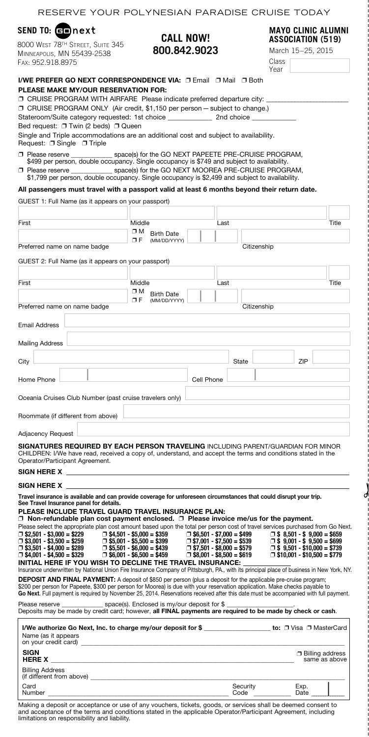| RESERVE YOUR POLYNESIAN PARADISE CRUISE TODAY                                                                                                                                                                                                                                                                                                                                                                                                                                                                                                                                                          |                                                                                                                                              |                                                                                                                                              |               |             |                                                                                                                                                      |               |  |
|--------------------------------------------------------------------------------------------------------------------------------------------------------------------------------------------------------------------------------------------------------------------------------------------------------------------------------------------------------------------------------------------------------------------------------------------------------------------------------------------------------------------------------------------------------------------------------------------------------|----------------------------------------------------------------------------------------------------------------------------------------------|----------------------------------------------------------------------------------------------------------------------------------------------|---------------|-------------|------------------------------------------------------------------------------------------------------------------------------------------------------|---------------|--|
| SEND TO: comprext<br>8000 WEST 78TH STREET, SUITE 345<br>MINNEAPOLIS, MN 55439-2538                                                                                                                                                                                                                                                                                                                                                                                                                                                                                                                    | <b>CALL NOW!</b><br>800.842.9023                                                                                                             |                                                                                                                                              |               |             | <b>MAYO CLINIC ALUMNI</b><br>ASSOCIATION (519)<br>March 15-25, 2015                                                                                  |               |  |
| FAX: 952.918.8975                                                                                                                                                                                                                                                                                                                                                                                                                                                                                                                                                                                      |                                                                                                                                              |                                                                                                                                              | Class<br>Year |             |                                                                                                                                                      |               |  |
| <b>I/WE PREFER GO NEXT CORRESPONDENCE VIA: □ Email □ Mail □ Both</b>                                                                                                                                                                                                                                                                                                                                                                                                                                                                                                                                   |                                                                                                                                              |                                                                                                                                              |               |             |                                                                                                                                                      |               |  |
| <b>PLEASE MAKE MY/OUR RESERVATION FOR:</b>                                                                                                                                                                                                                                                                                                                                                                                                                                                                                                                                                             |                                                                                                                                              |                                                                                                                                              |               |             |                                                                                                                                                      |               |  |
| □ CRUISE PROGRAM WITH AIRFARE Please indicate preferred departure city:                                                                                                                                                                                                                                                                                                                                                                                                                                                                                                                                |                                                                                                                                              |                                                                                                                                              |               |             |                                                                                                                                                      |               |  |
| □ CRUISE PROGRAM ONLY (Air credit, \$1,150 per person – subject to change.)                                                                                                                                                                                                                                                                                                                                                                                                                                                                                                                            |                                                                                                                                              |                                                                                                                                              |               |             |                                                                                                                                                      |               |  |
| Bed request: □ Twin (2 beds) □ Queen                                                                                                                                                                                                                                                                                                                                                                                                                                                                                                                                                                   |                                                                                                                                              |                                                                                                                                              |               |             |                                                                                                                                                      |               |  |
| Single and Triple accommodations are an additional cost and subject to availability.<br>Request: □ Single □ Triple                                                                                                                                                                                                                                                                                                                                                                                                                                                                                     |                                                                                                                                              |                                                                                                                                              |               |             |                                                                                                                                                      |               |  |
| □ Please reserve                                                                                                                                                                                                                                                                                                                                                                                                                                                                                                                                                                                       | space(s) for the GO NEXT PAPEETE PRE-CRUISE PROGRAM,                                                                                         |                                                                                                                                              |               |             |                                                                                                                                                      |               |  |
| \$499 per person, double occupancy. Single occupancy is \$749 and subject to availability.                                                                                                                                                                                                                                                                                                                                                                                                                                                                                                             | space(s) for the GO NEXT MOOREA PRE-CRUISE PROGRAM,                                                                                          |                                                                                                                                              |               |             |                                                                                                                                                      |               |  |
| □ Please reserve<br>\$1,799 per person, double occupancy. Single occupancy is \$2,499 and subject to availability.                                                                                                                                                                                                                                                                                                                                                                                                                                                                                     |                                                                                                                                              |                                                                                                                                              |               |             |                                                                                                                                                      |               |  |
| All passengers must travel with a passport valid at least 6 months beyond their return date.                                                                                                                                                                                                                                                                                                                                                                                                                                                                                                           |                                                                                                                                              |                                                                                                                                              |               |             |                                                                                                                                                      |               |  |
| GUEST 1: Full Name (as it appears on your passport)                                                                                                                                                                                                                                                                                                                                                                                                                                                                                                                                                    |                                                                                                                                              |                                                                                                                                              |               |             |                                                                                                                                                      |               |  |
|                                                                                                                                                                                                                                                                                                                                                                                                                                                                                                                                                                                                        |                                                                                                                                              |                                                                                                                                              |               |             |                                                                                                                                                      |               |  |
| First                                                                                                                                                                                                                                                                                                                                                                                                                                                                                                                                                                                                  | Middle                                                                                                                                       | Last                                                                                                                                         |               |             |                                                                                                                                                      | Title         |  |
|                                                                                                                                                                                                                                                                                                                                                                                                                                                                                                                                                                                                        | σм<br><b>Birth Date</b><br>ΟF<br>(MM/DD/YYYY)                                                                                                |                                                                                                                                              |               |             |                                                                                                                                                      |               |  |
| Preferred name on name badge                                                                                                                                                                                                                                                                                                                                                                                                                                                                                                                                                                           |                                                                                                                                              |                                                                                                                                              |               | Citizenship |                                                                                                                                                      |               |  |
| GUEST 2: Full Name (as it appears on your passport)                                                                                                                                                                                                                                                                                                                                                                                                                                                                                                                                                    |                                                                                                                                              |                                                                                                                                              |               |             |                                                                                                                                                      |               |  |
|                                                                                                                                                                                                                                                                                                                                                                                                                                                                                                                                                                                                        |                                                                                                                                              |                                                                                                                                              |               |             |                                                                                                                                                      |               |  |
| First                                                                                                                                                                                                                                                                                                                                                                                                                                                                                                                                                                                                  | Middle                                                                                                                                       | Last                                                                                                                                         |               |             |                                                                                                                                                      | Title         |  |
|                                                                                                                                                                                                                                                                                                                                                                                                                                                                                                                                                                                                        | OΜ<br><b>Birth Date</b><br>σF<br>(MM/DD/YYYY)                                                                                                |                                                                                                                                              |               |             |                                                                                                                                                      |               |  |
| Preferred name on name badge                                                                                                                                                                                                                                                                                                                                                                                                                                                                                                                                                                           |                                                                                                                                              |                                                                                                                                              |               | Citizenship |                                                                                                                                                      |               |  |
| <b>Email Address</b>                                                                                                                                                                                                                                                                                                                                                                                                                                                                                                                                                                                   |                                                                                                                                              |                                                                                                                                              |               |             |                                                                                                                                                      |               |  |
|                                                                                                                                                                                                                                                                                                                                                                                                                                                                                                                                                                                                        |                                                                                                                                              |                                                                                                                                              |               |             |                                                                                                                                                      |               |  |
| <b>Mailing Address</b>                                                                                                                                                                                                                                                                                                                                                                                                                                                                                                                                                                                 |                                                                                                                                              |                                                                                                                                              |               |             |                                                                                                                                                      |               |  |
| City                                                                                                                                                                                                                                                                                                                                                                                                                                                                                                                                                                                                   |                                                                                                                                              |                                                                                                                                              | State         |             | ZIP                                                                                                                                                  |               |  |
|                                                                                                                                                                                                                                                                                                                                                                                                                                                                                                                                                                                                        |                                                                                                                                              |                                                                                                                                              |               |             |                                                                                                                                                      |               |  |
| Home Phone                                                                                                                                                                                                                                                                                                                                                                                                                                                                                                                                                                                             |                                                                                                                                              | Cell Phone                                                                                                                                   |               |             |                                                                                                                                                      |               |  |
| Oceania Cruises Club Number (past cruise travelers only)                                                                                                                                                                                                                                                                                                                                                                                                                                                                                                                                               |                                                                                                                                              |                                                                                                                                              |               |             |                                                                                                                                                      |               |  |
|                                                                                                                                                                                                                                                                                                                                                                                                                                                                                                                                                                                                        |                                                                                                                                              |                                                                                                                                              |               |             |                                                                                                                                                      |               |  |
| Roommate (if different from above)                                                                                                                                                                                                                                                                                                                                                                                                                                                                                                                                                                     |                                                                                                                                              |                                                                                                                                              |               |             |                                                                                                                                                      |               |  |
| <b>Adjacency Request</b>                                                                                                                                                                                                                                                                                                                                                                                                                                                                                                                                                                               |                                                                                                                                              |                                                                                                                                              |               |             |                                                                                                                                                      |               |  |
| SIGNATURES REQUIRED BY EACH PERSON TRAVELING INCLUDING PARENT/GUARDIAN FOR MINOR<br>CHILDREN: I/We have read, received a copy of, understand, and accept the terms and conditions stated in the<br>Operator/Participant Agreement.<br>SIGN HERE X AND THE SIGN OF THE SIGN HERE X                                                                                                                                                                                                                                                                                                                      |                                                                                                                                              |                                                                                                                                              |               |             |                                                                                                                                                      |               |  |
| SIGN HERE X                                                                                                                                                                                                                                                                                                                                                                                                                                                                                                                                                                                            |                                                                                                                                              |                                                                                                                                              |               |             |                                                                                                                                                      |               |  |
| Travel insurance is available and can provide coverage for unforeseen circumstances that could disrupt your trip.<br>See Travel Insurance panel for details.<br>PLEASE INCLUDE TRAVEL GUARD TRAVEL INSURANCE PLAN:<br>$\Box$ Non-refundable plan cost payment enclosed. $\Box$ Please invoice me/us for the payment.<br>Please select the appropriate plan cost amount based upon the total per person cost of travel services purchased from Go Next.<br>$\Box$ \$2,501 - \$3,000 = \$229<br>$\Box$ \$3,001 - \$3,500 = \$259<br>$\Box$ \$3,501 - \$4,000 = \$289<br>$\Box$ \$4,001 - \$4,500 = \$329 | $\Box$ \$4,501 - \$5,000 = \$359<br>$\Box$ \$5,001 - \$5,500 = \$399<br>$\Box$ \$5,501 - \$6,000 = \$439<br>$\Box$ \$6,001 - \$6,500 = \$459 | $\Box$ \$6,501 - \$7,000 = \$499<br>$\Box$ \$7,001 - \$7,500 = \$539<br>$\Box$ \$7.501 - \$8.000 = \$579<br>$\Box$ \$8,001 - \$8,500 = \$619 |               |             | $\Box$ \$ 8.501 - \$ 9.000 = \$659<br>$\Box$ \$ 9,001 - \$ 9,500 = \$699<br>$\Box$ \$ 9,501 - \$10,000 = \$739<br>$\Box$ \$10,001 - \$10,500 = \$779 |               |  |
| INITIAL HERE IF YOU WISH TO DECLINE THE TRAVEL INSURANCE:<br>Insurance underwritten by National Union Fire Insurance Company of Pittsburgh, PA., with its principal place of business in New York, NY.<br><b>DEPOSIT AND FINAL PAYMENT:</b> A deposit of \$850 per person (plus a deposit for the applicable pre-cruise program;                                                                                                                                                                                                                                                                       |                                                                                                                                              |                                                                                                                                              |               |             |                                                                                                                                                      |               |  |
| \$200 per person for Papeete, \$300 per person for Moorea) is due with your reservation application. Make checks payable to<br>Go Next. Full payment is required by November 25, 2014. Reservations received after this date must be accompanied with full payment.                                                                                                                                                                                                                                                                                                                                    |                                                                                                                                              |                                                                                                                                              |               |             |                                                                                                                                                      |               |  |
| Please reserve<br>Deposits may be made by credit card; however, all FINAL payments are required to be made by check or cash.                                                                                                                                                                                                                                                                                                                                                                                                                                                                           | space(s). Enclosed is my/our deposit for \$                                                                                                  |                                                                                                                                              |               |             |                                                                                                                                                      |               |  |
| I/We authorize Go Next, Inc. to charge my/our deposit for \$__________________ to: □ Visa □ MasterCard<br>Name (as it appears<br>on your credit card)                                                                                                                                                                                                                                                                                                                                                                                                                                                  |                                                                                                                                              |                                                                                                                                              |               |             |                                                                                                                                                      |               |  |
| <b>SIGN</b><br><b>HERE X</b>                                                                                                                                                                                                                                                                                                                                                                                                                                                                                                                                                                           |                                                                                                                                              |                                                                                                                                              |               |             | <b>Billing address</b>                                                                                                                               | same as above |  |
| <b>Billing Address</b><br>(if different from above) (if different from above)<br>Card                                                                                                                                                                                                                                                                                                                                                                                                                                                                                                                  |                                                                                                                                              |                                                                                                                                              | Security      |             | Exp.                                                                                                                                                 |               |  |
| Number                                                                                                                                                                                                                                                                                                                                                                                                                                                                                                                                                                                                 |                                                                                                                                              |                                                                                                                                              | Code          |             | Date                                                                                                                                                 |               |  |

d

Making a deposit or acceptance or use of any vouchers, tickets, goods, or services shall be deemed consent to<br>and acceptance of the terms and conditions stated in the applicable Operator/Participant Agreement, including<br>li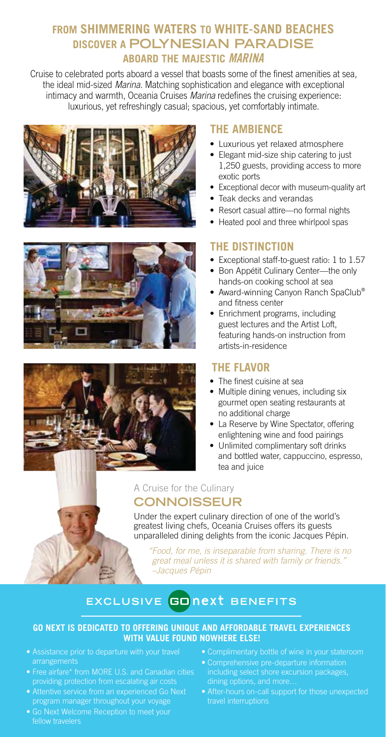### **FROM SHIMMERING WATERS TO WHITE-SAND BEACHES DISCOVER A POLYNESIAN PARADISE ABOARD THE MAJESTIC** MARINA

Cruise to celebrated ports aboard a vessel that boasts some of the finest amenities at sea, the ideal mid-sized Marina. Matching sophistication and elegance with exceptional intimacy and warmth, Oceania Cruises Marina redefines the cruising experience: luxurious, yet refreshingly casual; spacious, yet comfortably intimate.







### **THE AMBIENCE**

- Luxurious yet relaxed atmosphere
- Elegant mid-size ship catering to just 1,250 guests, providing access to more exotic ports
- Exceptional decor with museum-quality art
- Teak decks and verandas
- Resort casual attire—no formal nights
- Heated pool and three whirlpool spas

#### **THE DISTINCTION**

- Exceptional staff-to-guest ratio: 1 to 1.57
- Bon Appétit Culinary Center—the only hands-on cooking school at sea
- Award-winning Canyon Ranch SpaClub<sup>®</sup> and fitness center
- Enrichment programs, including guest lectures and the Artist Loft, featuring hands-on instruction from artists-in-residence

#### **THE FLAVOR**

- The finest cuisine at sea
- Multiple dining venues, including six gourmet open seating restaurants at no additional charge
- La Reserve by Wine Spectator, offering enlightening wine and food pairings
- Unlimited complimentary soft drinks and bottled water, cappuccino, espresso, tea and juice

#### A Cruise for the Culinary **CONNOISSEUR**

Under the expert culinary direction of one of the world's greatest living chefs, Oceania Cruises offers its guests unparalleled dining delights from the iconic Jacques Pépin.

" Food, for me, is inseparable from sharing. There is no great meal unless it is shared with family or friends." –Jacques Pépin

### **EXCLUSIVE BENEFITS**

#### **GO NEXT IS DEDICATED TO OFFERING UNIQUE AND AFFORDABLE TRAVEL EXPERIENCES WITH VALUE FOUND NOWHERE ELSE!**

- Assistance prior to departure with your travel arrangements
- Free airfare\* from MORE U.S. and Canadian cities providing protection from escalating air costs
- Attentive service from an experienced Go Next program manager throughout your voyage
- fellow travelers
- Complimentary bottle of wine in your stateroom
- including select shore excursion packages, dining options, and more…
- After-hours on-call support for those unexpected travel interruptions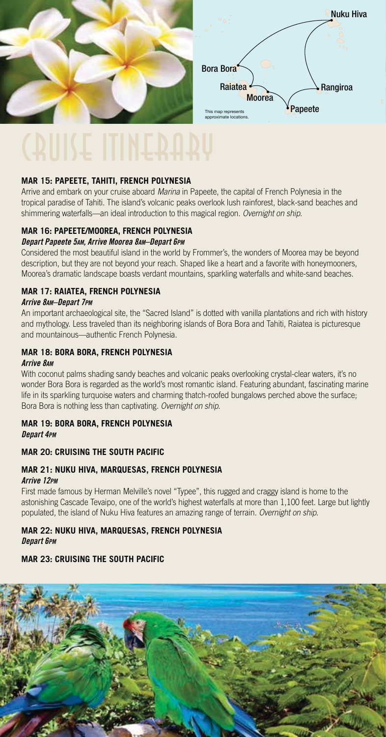

#### **MAR 15: PAPEETE, TAHITI, FRENCH POLYNESIA**

Arrive and embark on your cruise aboard Marina in Papeete, the capital of French Polynesia in the tropical paradise of Tahiti. The island's volcanic peaks overlook lush rainforest, black-sand beaches and shimmering waterfalls—an ideal introduction to this magical region. Overnight on ship.

#### **MAR 16: PAPEETE/MOOREA, FRENCH POLYNESIA** Depart Papeete 5AM, Arrive Moorea 8AM–Depart 6PM

Considered the most beautiful island in the world by Frommer's, the wonders of Moorea may be beyond description, but they are not beyond your reach. Shaped like a heart and a favorite with honeymooners, Moorea's dramatic landscape boasts verdant mountains, sparkling waterfalls and white-sand beaches.

#### **MAR 17: RAIATEA, FRENCH POLYNESIA**

#### Arrive 8AM–Depart 7PM

An important archaeological site, the "Sacred Island" is dotted with vanilla plantations and rich with history and mythology. Less traveled than its neighboring islands of Bora Bora and Tahiti, Raiatea is picturesque and mountainous—authentic French Polynesia.

#### **MAR 18: BORA BORA, FRENCH POLYNESIA**  Arrive 8AM

With coconut palms shading sandy beaches and volcanic peaks overlooking crystal-clear waters, it's no wonder Bora Bora is regarded as the world's most romantic island. Featuring abundant, fascinating marine life in its sparkling turquoise waters and charming thatch-roofed bungalows perched above the surface; Bora Bora is nothing less than captivating. Overnight on ship.

#### **MAR 19: BORA BORA, FRENCH POLYNESIA**  Depart 4PM

#### **MAR 20: CRUISING THE SOUTH PACIFIC**

#### **MAR 21: NUKU HIVA, MARQUESAS, FRENCH POLYNESIA**

#### Arrive 12PM

First made famous by Herman Melville's novel "Typee", this rugged and craggy island is home to the astonishing Cascade Tevaipo, one of the world's highest waterfalls at more than 1,100 feet. Large but lightly populated, the island of Nuku Hiva features an amazing range of terrain. Overnight on ship.

#### **MAR 22: NUKU HIVA, MARQUESAS, FRENCH POLYNESIA**  Depart 6PM

#### **MAR 23: CRUISING THE SOUTH PACIFIC**

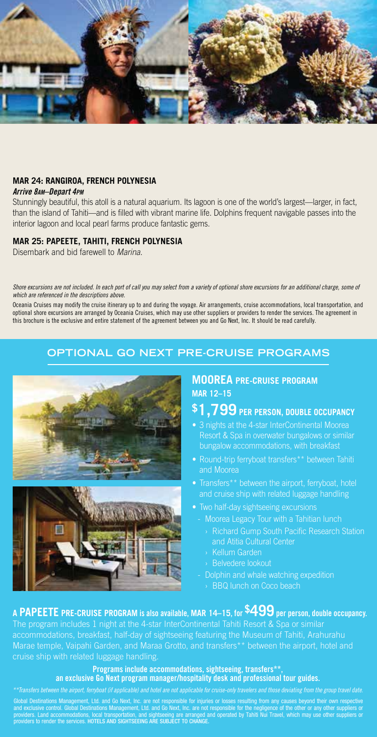

#### **MAR 24: RANGIROA, FRENCH POLYNESIA**

#### Arrive 8AM–Depart 4PM

Stunningly beautiful, this atoll is a natural aquarium. Its lagoon is one of the world's largest—larger, in fact, than the island of Tahiti—and is filled with vibrant marine life. Dolphins frequent navigable passes into the interior lagoon and local pearl farms produce fantastic gems.

#### **MAR 25: PAPEETE, TAHITI, FRENCH POLYNESIA**

Disembark and bid farewell to Marina.

#### Shore excursions are not included. In each port of call you may select from a variety of optional shore excursions for an additional charge, some of which are referenced in the descriptions above.

Oceania Cruises may modify the cruise itinerary up to and during the voyage. Air arrangements, cruise accommodations, local transportation, and optional shore excursions are arranged by Oceania Cruises, which may use other suppliers or providers to render the services. The agreement in this brochure is the exclusive and entire statement of the agreement between you and Go Next, Inc. It should be read carefully.

#### **OPTIONAL GO NEXT PRE-CRUISE PROGRAMS**





#### **MOOREA PRE-CRUISE PROGRAM MAR 12–15**

## **\$1,799 PER PERSON, DOUBLE OCCUPANCY**

- 3 nights at the 4-star InterContinental Moorea Resort & Spa in overwater bungalows or similar bungalow accommodations, with breakfast
- Round-trip ferryboat transfers\*\* between Tahiti and Moorea
- and cruise ship with related luggage handling
- Two half-day sightseeing excursions
	- Moorea Legacy Tour with a Tahitian lunch
		- › Richard Gump South Pacific Research Station and Atitia Cultural Center
		- › Kellum Garden
		- › Belvedere lookout
	- Dolphin and whale watching expedition
		- › BBQ lunch on Coco beach

### **A PAPEETE PRE-CRUISE PROGRAM** is also available, **MAR 14–15**, for **\$499** per person, double occupancy.

The program includes 1 night at the 4-star InterContinental Tahiti Resort & Spa or similar accommodations, breakfast, half-day of sightseeing featuring the Museum of Tahiti, Arahurahu Marae temple, Vaipahi Garden, and Maraa Grotto, and transfers\*\* between the airport, hotel and cruise ship with related luggage handling.

#### Programs include accommodations, sightseeing, transfers\*\* an exclusive Go Next program manager/hospitality desk and professional tour guides.

Global Destinations Management, Ltd. and Go Next, Inc. are not responsible for injuries or losses resulting from any causes beyond their own respective<br>and exclusive control. Global Destinations Management, Ltd. and Go Nex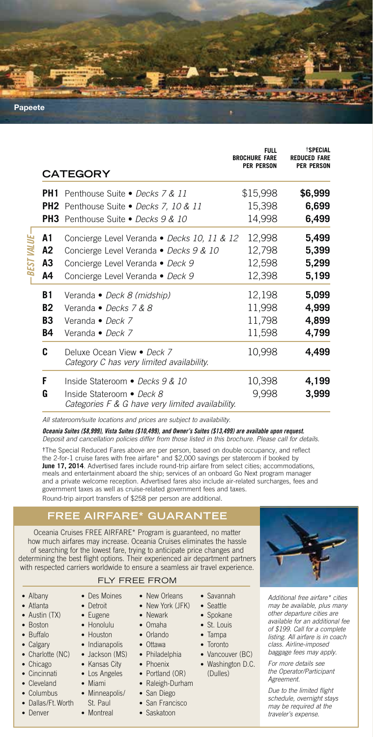**Papeete**

|  |           | <b>CATEGORY</b>                                                               | FULL<br><b>BROCHURE FARE</b><br><b>PER PERSON</b> | <b><i>TSPECIAL</i></b><br><b>REDUCED FARE</b><br><b>PER PERSON</b> |  |
|--|-----------|-------------------------------------------------------------------------------|---------------------------------------------------|--------------------------------------------------------------------|--|
|  |           | <b>PH1</b> Penthouse Suite • Decks 7 & 11                                     | \$15,998                                          | \$6,999                                                            |  |
|  |           | <b>PH2</b> Penthouse Suite • Decks 7, 10 & 11                                 | 15,398                                            | 6,699                                                              |  |
|  |           | <b>PH3</b> Penthouse Suite • Decks 9 & 10                                     | 14,998                                            | 6,499                                                              |  |
|  | Α1        | Concierge Level Veranda • Decks 10, 11 & 12                                   | 12,998                                            | 5,499                                                              |  |
|  | А2        | Concierge Level Veranda • Decks 9 & 10                                        | 12,798                                            | 5,399                                                              |  |
|  | A3        | Concierge Level Veranda • Deck 9                                              | 12,598                                            | 5,299                                                              |  |
|  | А4        | Concierge Level Veranda • Deck 9                                              | 12,398                                            | 5,199                                                              |  |
|  | B1        | Veranda • Deck 8 (midship)                                                    | 12,198                                            | 5,099                                                              |  |
|  | <b>B2</b> | Veranda • Decks 7 & 8                                                         | 11,998                                            | 4,999                                                              |  |
|  | B3        | Veranda • Deck 7                                                              | 11,798                                            | 4,899                                                              |  |
|  | B4        | Veranda • Deck 7                                                              | 11,598                                            | 4,799                                                              |  |
|  | C         | Deluxe Ocean View . Deck 7<br>Category C has very limited availability.       | 10,998                                            | 4,499                                                              |  |
|  | F         | Inside Stateroom · Decks 9 & 10                                               | 10,398                                            | 4,199                                                              |  |
|  | G         | Inside Stateroom • Deck 8<br>Categories F & G have very limited availability. | 9,998                                             | 3,999                                                              |  |

All stateroom/suite locations and prices are subject to availability.

Oceania Suites (\$8,999), Vista Suites (\$10,499), and Owner's Suites (\$13,499) are available upon request. Deposit and cancellation policies differ from those listed in this brochure. Please call for details.

**†**The Special Reduced Fares above are per person, based on double occupancy, and reflect the 2-for-1 cruise fares with free airfare\* and \$2,000 savings per stateroom if booked by **June 17, 2014**. Advertised fares include round-trip airfare from select cities; accommodations, meals and entertainment aboard the ship; services of an onboard Go Next program manager and a private welcome reception. Advertised fares also include air-related surcharges, fees and government taxes as well as cruise-related government fees and taxes. Round-trip airport transfers of \$258 per person are additional.

#### **FREE AIRFARE\* GUARANTEE**

Oceania Cruises FREE AIRFARE\* Program is guaranteed, no matter how much airfares may increase. Oceania Cruises eliminates the hassle of searching for the lowest fare, trying to anticipate price changes and determining the best flight options. Their experienced air department partners with respected carriers worldwide to ensure a seamless air travel experience.

#### FLY FREE FROM

• Des Moines • Detroit • Eugene • Honolulu • Houston • Indianapolis • Jackson (MS) • Kansas City • Los Angeles • Miami • Minneapolis/ St. Paul • Montreal

• Albany

レー・エン しょうしん

- Atlanta • Austin (TX)
- Boston
- Buffalo
- Calgary
- Charlotte (NC)
- Chicago
- Cincinnati
- Cleveland
- Columbus
- Dallas/Ft. Worth
- Denver
- New York (JFK)
	- Newark
		- Omaha
		- Orlando
	- Ottawa
	- Philadelphia

• New Orleans

• Savannah • Seattle • Spokane • St. Louis • Tampa • Toronto • Vancouver (BC) • Washington D.C. (Dulles)

- Phoenix
- Portland (OR)
- Raleigh-Durham
- San Diego • San Francisco
- Saskatoon

Additional free airfare\* cities may be available, plus many other departure cities are available for an additional fee of \$199. Call for a complete listing. All airfare is in coach class. Airline-imposed baggage fees may apply.

For more details see the Operator/Participant Agreement.

Due to the limited flight schedule, overnight stays may be required at the traveler's expense.